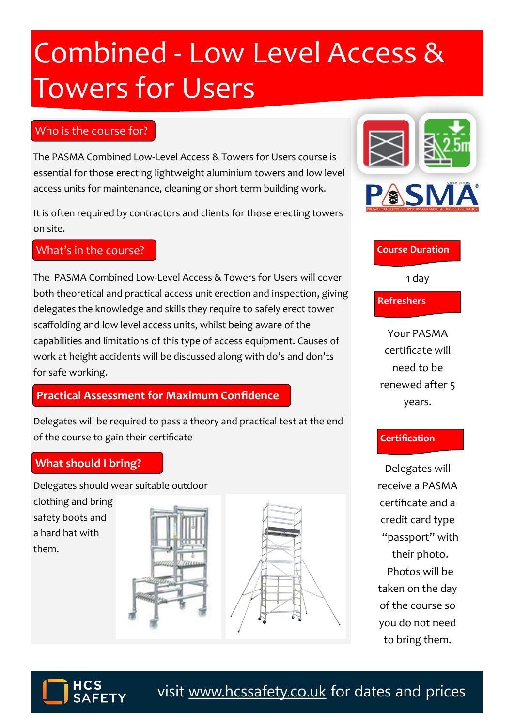# Combined - Low Level Access & Towers for Users

## Who is the course for?

The PASMA Combined Low-Level Access & Towers for Users course is essential for those erecting lightweight aluminium towers and low level access units for maintenance, cleaning or short term building work.

It is often required by contractors and clients for those erecting towers on site.

#### What's in the course?

The PASMA Combined Low-Level Access & Towers for Users will cover both theoretical and practical access unit erection and inspection, giving delegates the knowledge and skills they require to safely erect tower scaffolding and low level access units, whilst being aware of the capabilities and limitations of this type of access equipment. Causes of work at height accidents will be discussed along with do's and don'ts for safe working.

#### **Practical Assessment for Maximum Confidence**

Delegates will be required to pass a theory and practical test at the end of the course to gain their certificate

## **What should I bring?**

Delegates should wear suitable outdoor

clothing and bring safety boots and a hard hat with them.







#### **Course Duration**

1 day

### **Refreshers**

Your PASMA certificate will need to be renewed after 5 years.

#### **Certification**

Delegates will receive a PASMA certificate and a credit card type "passport" with their photo. Photos will be taken on the day of the course so you do not need to bring them.



visit [www.hcssafety.co.uk](http://www.hcssafety.co.uk/training) for dates and prices